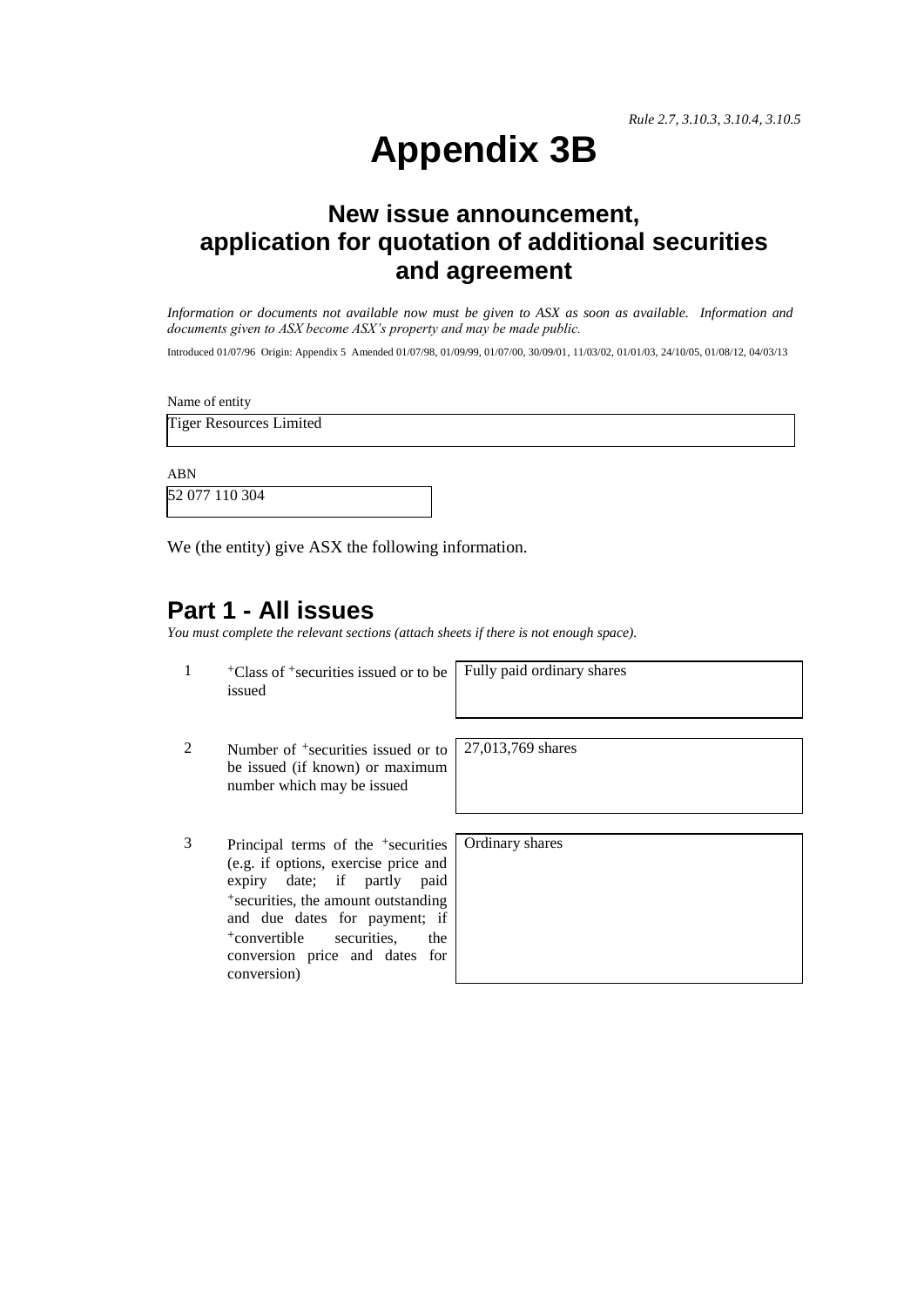*Rule 2.7, 3.10.3, 3.10.4, 3.10.5*

# **Appendix 3B**

# **New issue announcement, application for quotation of additional securities and agreement**

*Information or documents not available now must be given to ASX as soon as available. Information and documents given to ASX become ASX's property and may be made public.*

Introduced 01/07/96 Origin: Appendix 5 Amended 01/07/98, 01/09/99, 01/07/00, 30/09/01, 11/03/02, 01/01/03, 24/10/05, 01/08/12, 04/03/13

Name of entity

Tiger Resources Limited

ABN

52 077 110 304

We (the entity) give ASX the following information.

#### **Part 1 - All issues**

*You must complete the relevant sections (attach sheets if there is not enough space).*

1 +Class of +securities issued or to be issued

Fully paid ordinary shares

- 2 Number of <sup>+</sup>securities issued or to be issued (if known) or maximum number which may be issued
- 3 Principal terms of the +securities (e.g. if options, exercise price and expiry date; if partly paid +securities, the amount outstanding and due dates for payment; if +convertible securities, the conversion price and dates for conversion)

27,013,769 shares

Ordinary shares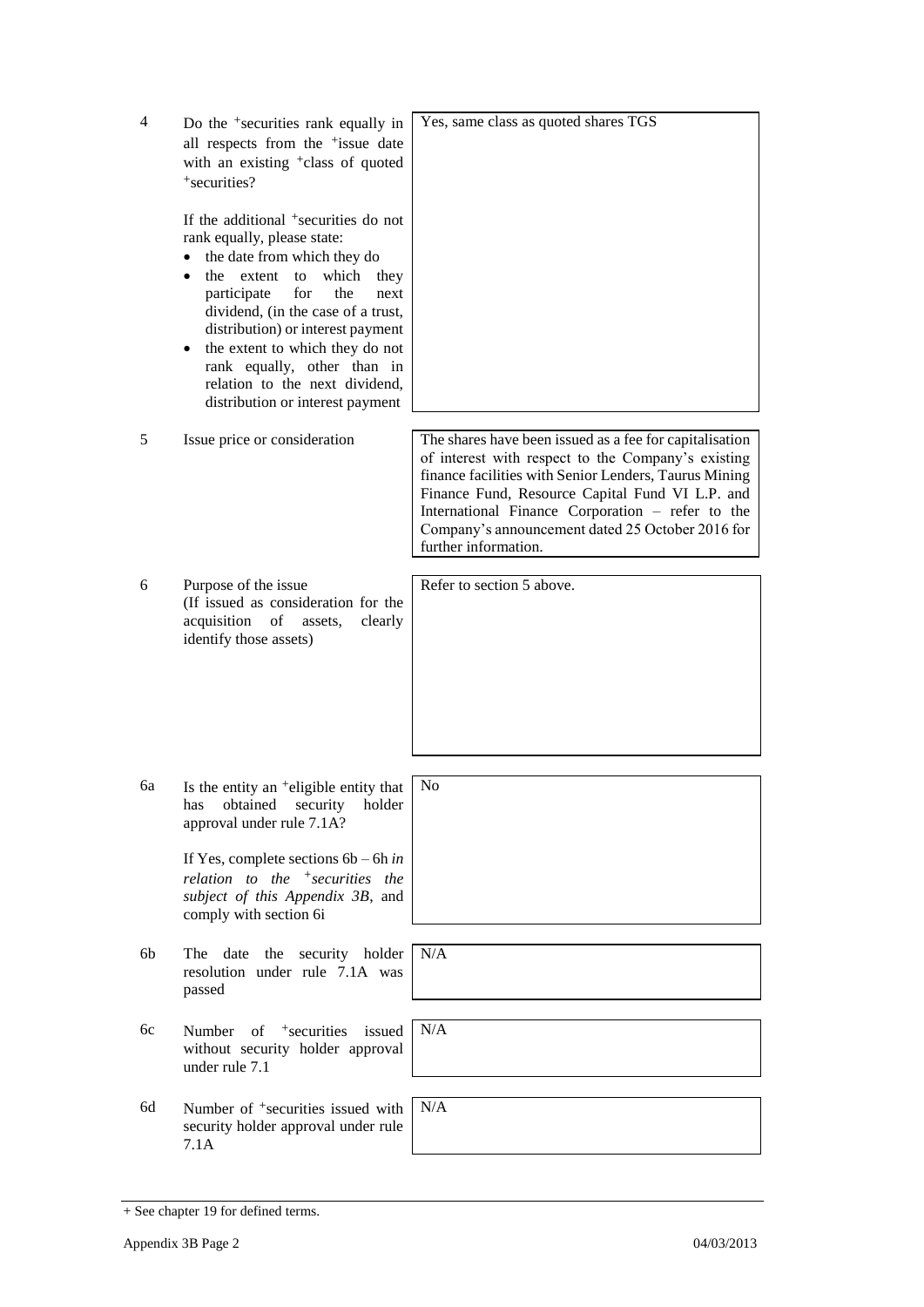| $\overline{4}$ | Do the <sup>+</sup> securities rank equally in<br>all respects from the <sup>+</sup> issue date<br>with an existing <sup>+</sup> class of quoted<br>+securities?<br>If the additional <sup>+</sup> securities do not                                                                                                                                                                           | Yes, same class as quoted shares TGS                                                                                                                                                                                                                                                                                                                      |
|----------------|------------------------------------------------------------------------------------------------------------------------------------------------------------------------------------------------------------------------------------------------------------------------------------------------------------------------------------------------------------------------------------------------|-----------------------------------------------------------------------------------------------------------------------------------------------------------------------------------------------------------------------------------------------------------------------------------------------------------------------------------------------------------|
|                | rank equally, please state:<br>the date from which they do<br>$\bullet$<br>the extent<br>to<br>which<br>they<br>$\bullet$<br>participate<br>for<br>the<br>next<br>dividend, (in the case of a trust,<br>distribution) or interest payment<br>the extent to which they do not<br>$\bullet$<br>rank equally, other than in<br>relation to the next dividend,<br>distribution or interest payment |                                                                                                                                                                                                                                                                                                                                                           |
| 5              | Issue price or consideration                                                                                                                                                                                                                                                                                                                                                                   | The shares have been issued as a fee for capitalisation<br>of interest with respect to the Company's existing<br>finance facilities with Senior Lenders, Taurus Mining<br>Finance Fund, Resource Capital Fund VI L.P. and<br>International Finance Corporation - refer to the<br>Company's announcement dated 25 October 2016 for<br>further information. |
| 6              | Purpose of the issue<br>(If issued as consideration for the<br>acquisition<br>of assets,<br>clearly<br>identify those assets)                                                                                                                                                                                                                                                                  | Refer to section 5 above.                                                                                                                                                                                                                                                                                                                                 |
| 6a             | Is the entity an <sup>+</sup> eligible entity that<br>has obtained security holder<br>approval under rule 7.1A?<br>If Yes, complete sections $6b - 6h$ in<br>relation to the $+$ securities the                                                                                                                                                                                                | N <sub>0</sub>                                                                                                                                                                                                                                                                                                                                            |
|                | subject of this Appendix 3B, and<br>comply with section 6i                                                                                                                                                                                                                                                                                                                                     |                                                                                                                                                                                                                                                                                                                                                           |
| 6b             | The date<br>the security holder<br>resolution under rule 7.1A was<br>passed                                                                                                                                                                                                                                                                                                                    | N/A                                                                                                                                                                                                                                                                                                                                                       |
| 6c             | $of$ +securities<br>issued<br>Number<br>without security holder approval<br>under rule 7.1                                                                                                                                                                                                                                                                                                     | N/A                                                                                                                                                                                                                                                                                                                                                       |
| 6d             |                                                                                                                                                                                                                                                                                                                                                                                                | N/A                                                                                                                                                                                                                                                                                                                                                       |
|                | Number of <sup>+</sup> securities issued with<br>security holder approval under rule<br>7.1A                                                                                                                                                                                                                                                                                                   |                                                                                                                                                                                                                                                                                                                                                           |

<sup>+</sup> See chapter 19 for defined terms.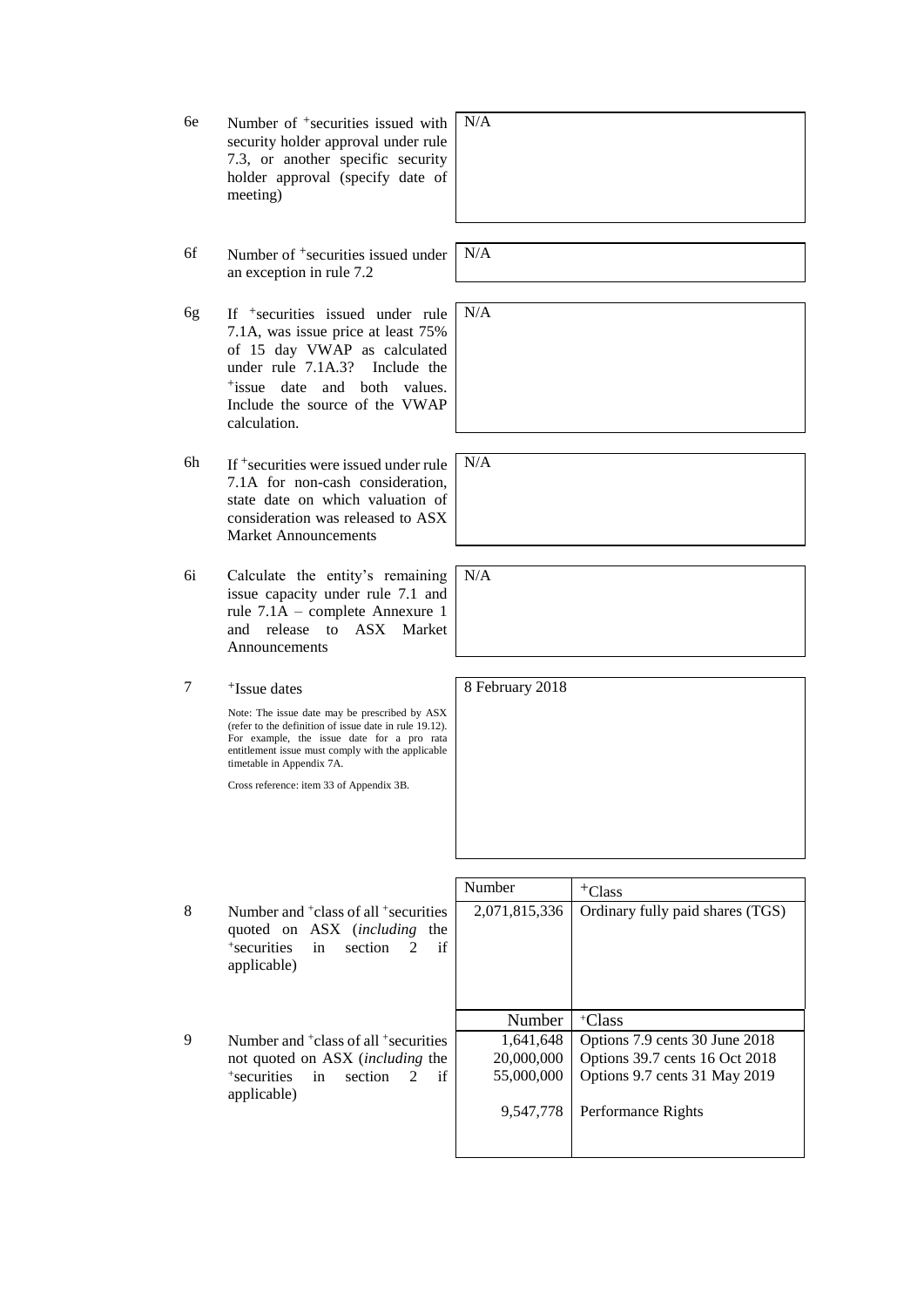- 6e Number of +securities issued with security holder approval under rule 7.3, or another specific security holder approval (specify date of meeting)
- 6f Number of +securities issued under an exception in rule 7.2
- 6g If +securities issued under rule 7.1A, was issue price at least 75% of 15 day VWAP as calculated under rule 7.1A.3? Include the +issue date and both values. Include the source of the VWAP calculation.
- 6h If  $+$  securities were issued under rule 7.1A for non-cash consideration, state date on which valuation of consideration was released to ASX Market Announcements
- 6i Calculate the entity's remaining issue capacity under rule 7.1 and rule 7.1A – complete Annexure 1 and release to ASX Market **Announcements**

7 +Issue dates

Note: The issue date may be prescribed by ASX (refer to the definition of issue date in rule 19.12). For example, the issue date for a pro rata entitlement issue must comply with the applicable timetable in Appendix 7A.

Cross reference: item 33 of Appendix 3B.

8 Number and <sup>+</sup>class of all <sup>+</sup> securities quoted on ASX (*including* the + securities in section 2 if applicable)

9 Number and <sup>+</sup>class of all <sup>+</sup> securities not quoted on ASX (*including* the + securities in section 2 if applicable)

| Number        | <sup>+</sup> Class               |  |
|---------------|----------------------------------|--|
| 2,071,815,336 | Ordinary fully paid shares (TGS) |  |
|               |                                  |  |
| Number        | <sup>+</sup> Class               |  |
|               |                                  |  |
| 1,641,648     | Options 7.9 cents 30 June 2018   |  |
| 20,000,000    | Options 39.7 cents 16 Oct 2018   |  |
| 55,000,000    | Options 9.7 cents 31 May 2019    |  |
| 9,547,778     | Performance Rights               |  |

N/A

N/A

N/A

N/A

 $N/A$ 

8 February 2018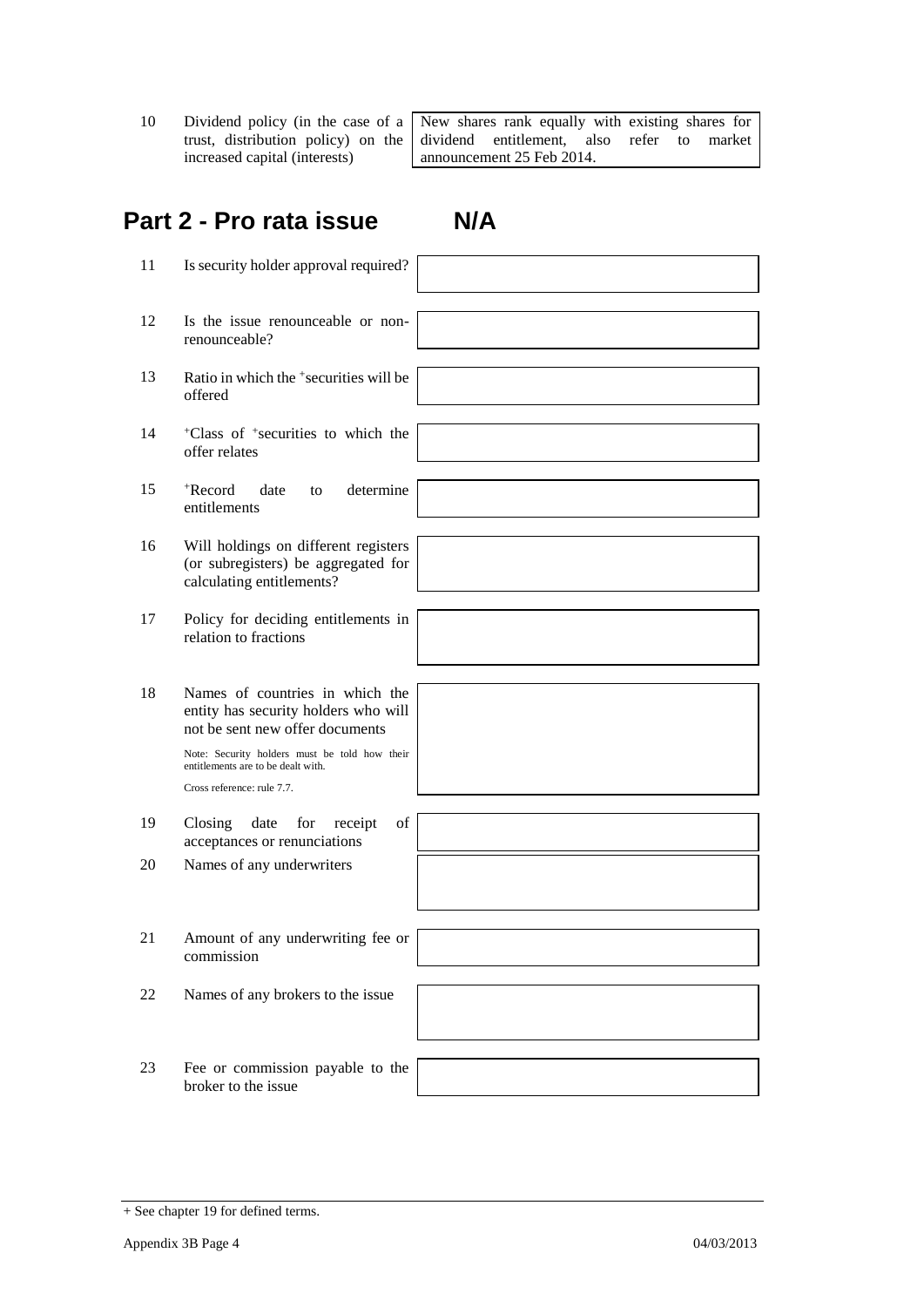10 Dividend policy (in the case of a trust, distribution policy) on the increased capital (interests)

New shares rank equally with existing shares for dividend entitlement, also refer to market announcement 25 Feb 2014.

# **Part 2 - Pro rata issue N/A**

- 11 Is security holder approval required?
- 12 Is the issue renounceable or nonrenounceable?
- 13 Ratio in which the +securities will be offered
- 14 <sup>+</sup>Class of <sup>+</sup> securities to which the offer relates
- 15 <sup>+</sup>Record date to determine entitlements
- 16 Will holdings on different registers (or subregisters) be aggregated for calculating entitlements?
- 17 Policy for deciding entitlements in relation to fractions
- 18 Names of countries in which the entity has security holders who will not be sent new offer documents

Note: Security holders must be told how their entitlements are to be dealt with. Cross reference: rule 7.7.

- 19 Closing date for receipt of acceptances or renunciations
- 20 Names of any underwriters
- 21 Amount of any underwriting fee or commission
- 22 Names of any brokers to the issue
- 23 Fee or commission payable to the broker to the issue



| + See chapter 19 for defined terms. |  |  |  |
|-------------------------------------|--|--|--|
|-------------------------------------|--|--|--|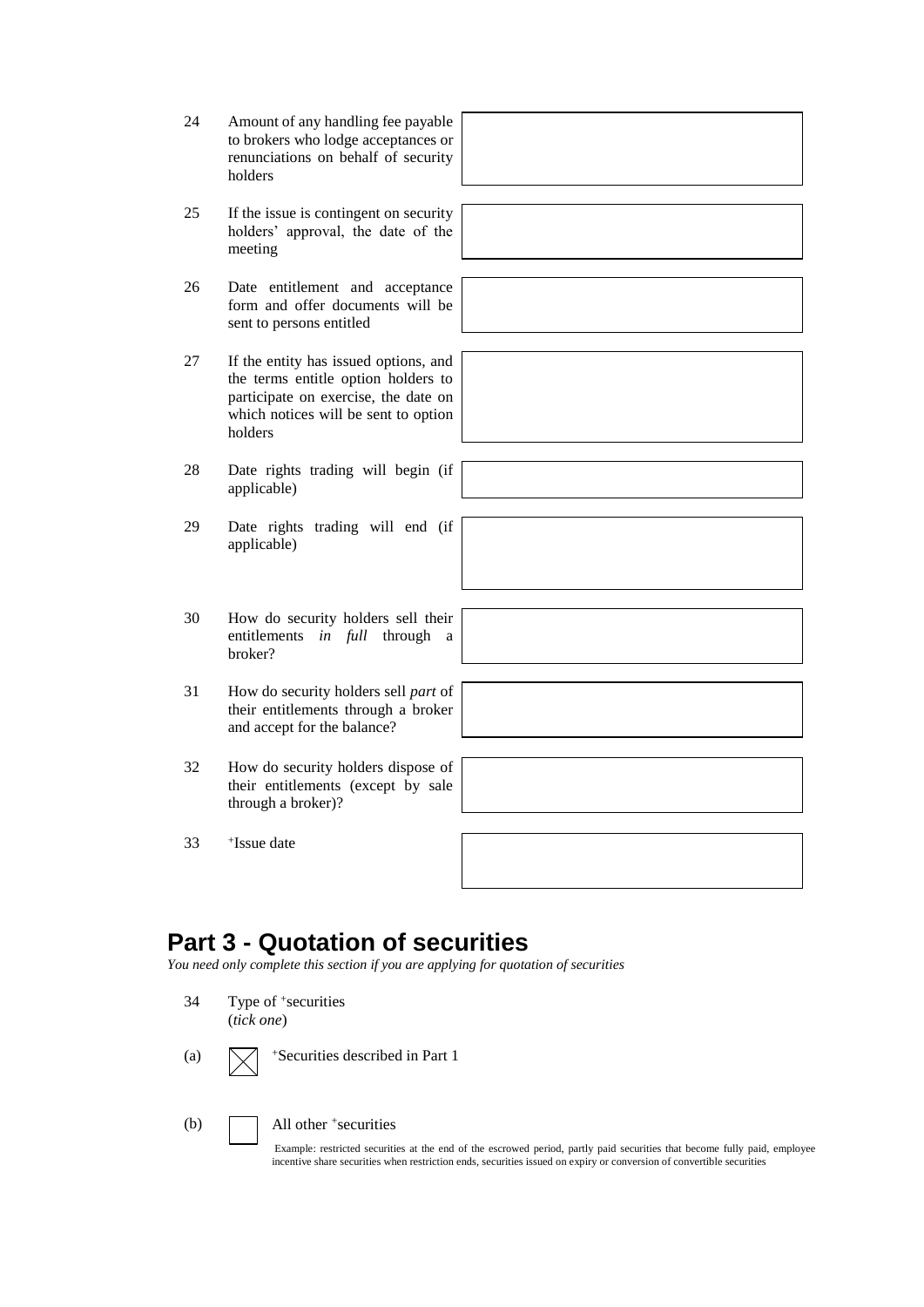- 24 Amount of any handling fee payable to brokers who lodge acceptances or renunciations on behalf of security holders
- 25 If the issue is contingent on security holders' approval, the date of the meeting
- 26 Date entitlement and acceptance form and offer documents will be sent to persons entitled
- 27 If the entity has issued options, and the terms entitle option holders to participate on exercise, the date on which notices will be sent to option holders
- 28 Date rights trading will begin (if applicable)
- 29 Date rights trading will end (if applicable)
- 30 How do security holders sell their entitlements *in full* through a broker?
- 31 How do security holders sell *part* of their entitlements through a broker and accept for the balance?
- 32 How do security holders dispose of their entitlements (except by sale through a broker)?
- 33 <sup>+</sup> Issue date

## **Part 3 - Quotation of securities**

*You need only complete this section if you are applying for quotation of securities*

- 34 Type of <sup>+</sup> securities (*tick one*)
- (a)  $\sqrt{\phantom{a}}$  +Securities described in Part 1
	-

(b) All other <sup>+</sup> securities

Example: restricted securities at the end of the escrowed period, partly paid securities that become fully paid, employee incentive share securities when restriction ends, securities issued on expiry or conversion of convertible securities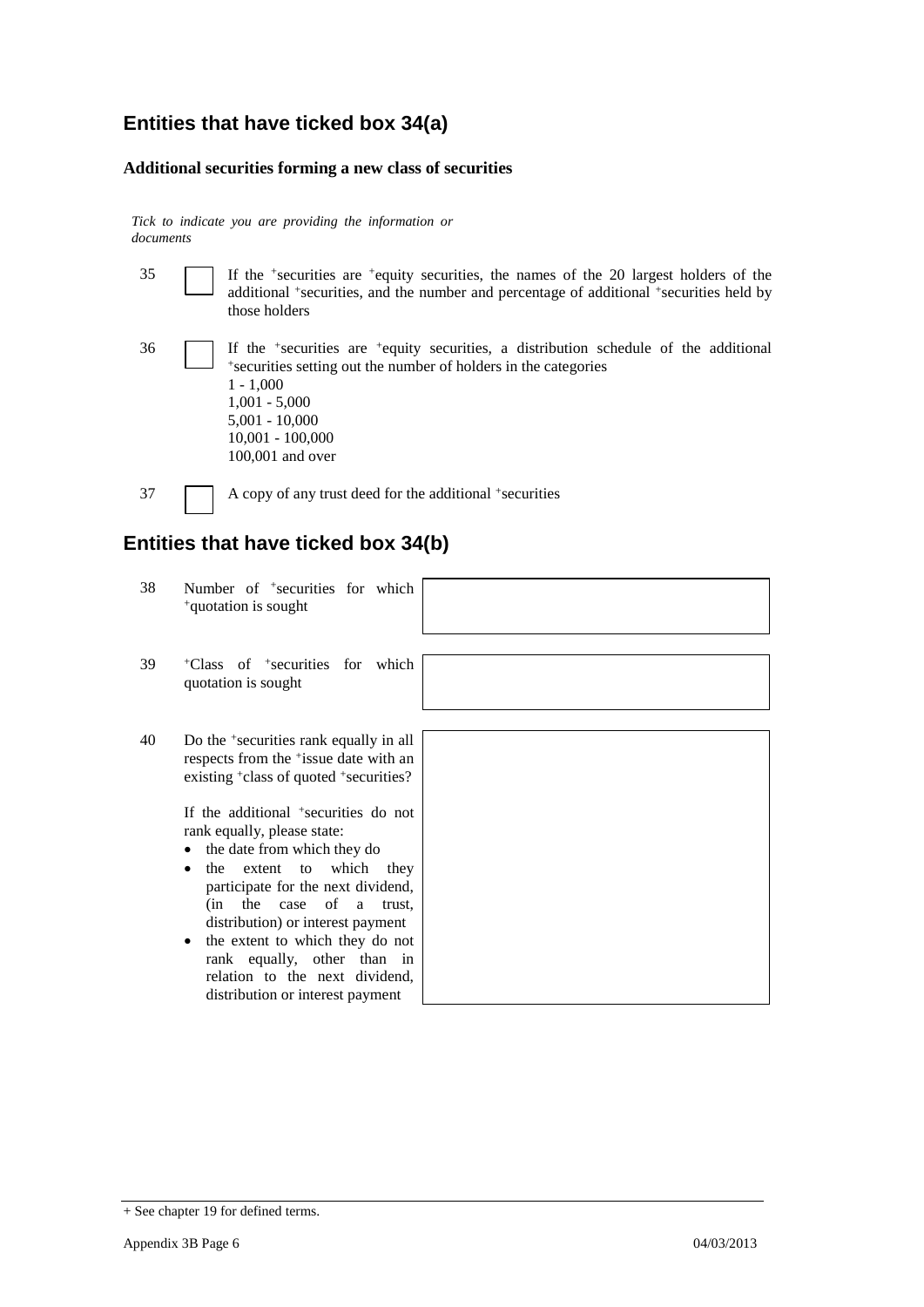#### **Entities that have ticked box 34(a)**

#### **Additional securities forming a new class of securities**

*Tick to indicate you are providing the information or documents*

| 35 | $\vert$ If the <sup>+</sup> securities are <sup>+</sup> equity securities, the names of the 20 largest holders of the |
|----|-----------------------------------------------------------------------------------------------------------------------|
|    | additional +securities, and the number and percentage of additional +securities held by                               |
|    | those holders                                                                                                         |

36 If the <sup>+</sup> securities are <sup>+</sup>equity securities, a distribution schedule of the additional + securities setting out the number of holders in the categories 1 - 1,000 1,001 - 5,000 5,001 - 10,000 10,001 - 100,000 100,001 and over

37 A copy of any trust deed for the additional +securities

### **Entities that have ticked box 34(b)**

- 38 Number of <sup>+</sup> securities for which <sup>+</sup>quotation is sought
- 39 <sup>+</sup>Class of <sup>+</sup> securities for which quotation is sought
- 40 Do the <sup>+</sup> securities rank equally in all respects from the <sup>+</sup> issue date with an existing <sup>+</sup>class of quoted <sup>+</sup>securities?

If the additional <sup>+</sup> securities do not rank equally, please state:

- the date from which they do
- the extent to which they participate for the next dividend, (in the case of a trust, distribution) or interest payment
- the extent to which they do not rank equally, other than in relation to the next dividend, distribution or interest payment



<sup>+</sup> See chapter 19 for defined terms.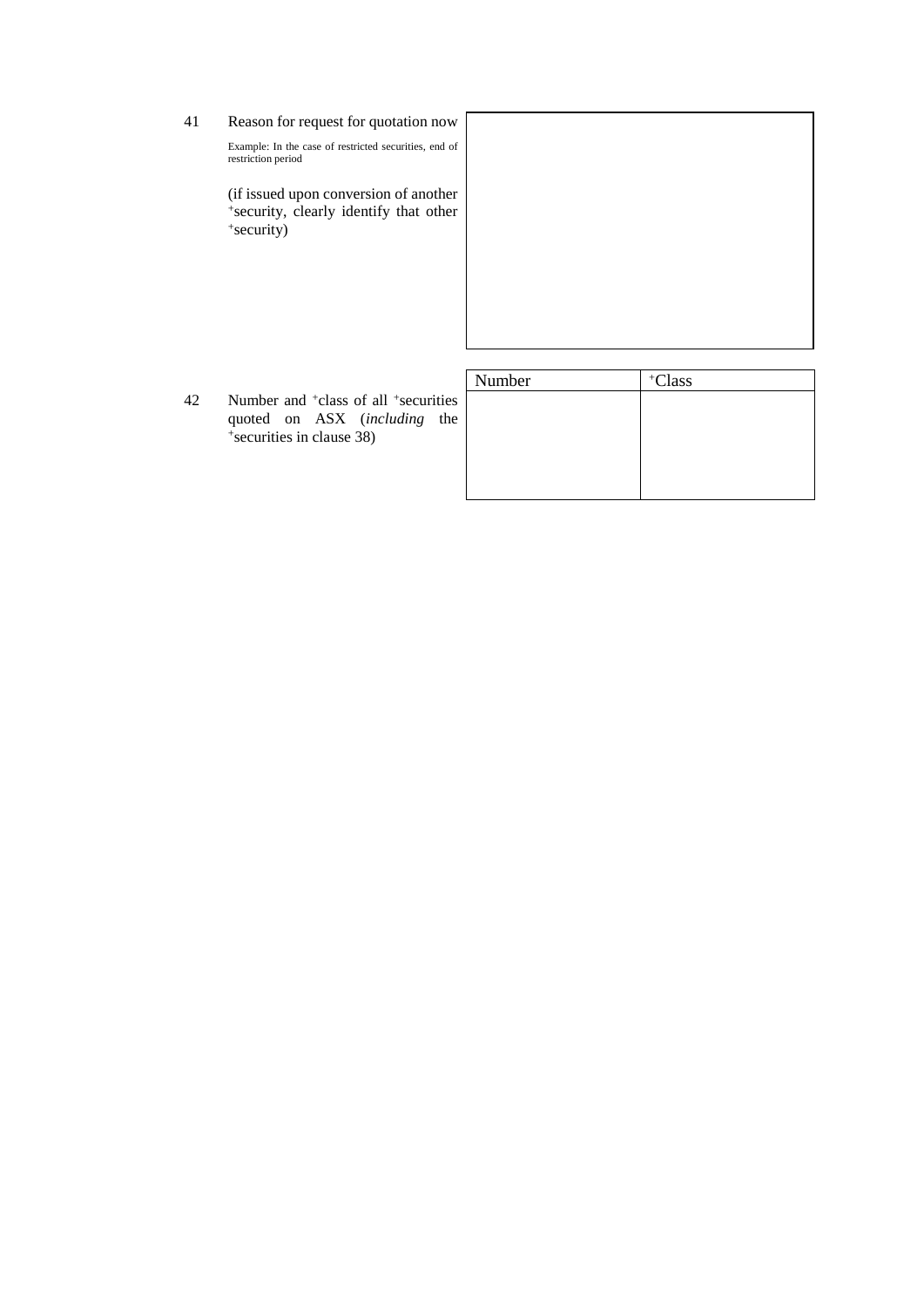41 Reason for request for quotation now

Example: In the case of restricted securities, end of restriction period

(if issued upon conversion of another + security, clearly identify that other + security)

42 Number and <sup>+</sup>class of all <sup>+</sup> securities quoted on ASX (*including* the + securities in clause 38)

| Number | +Class |
|--------|--------|
|        |        |
|        |        |
|        |        |
|        |        |
|        |        |
|        |        |